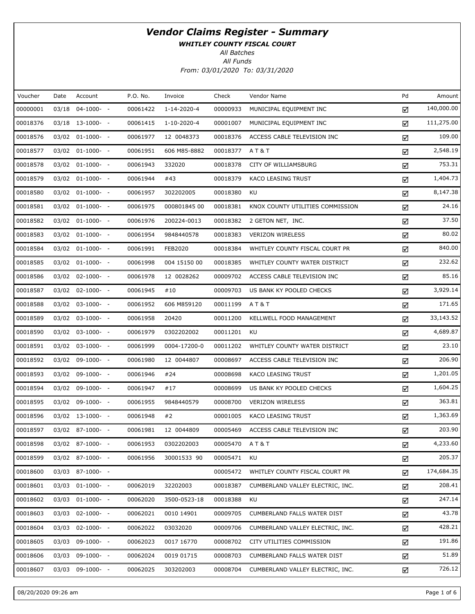WHITLEY COUNTY FISCAL COURT

All Batches

| Voucher  | Date | Account               | P.O. No. | Invoice      | Check    | Vendor Name                      | Pd | Amount     |
|----------|------|-----------------------|----------|--------------|----------|----------------------------------|----|------------|
| 00000001 |      | 03/18 04-1000- -      | 00061422 | 1-14-2020-4  | 00000933 | MUNICIPAL EQUIPMENT INC          | ☑  | 140,000.00 |
| 00018376 |      | $03/18$ 13-1000- -    | 00061415 | 1-10-2020-4  | 00001007 | MUNICIPAL EQUIPMENT INC          | ☑  | 111,275.00 |
| 00018576 |      | 03/02 01-1000- -      | 00061977 | 12 0048373   | 00018376 | ACCESS CABLE TELEVISION INC      | ☑  | 109.00     |
| 00018577 |      | $03/02$ $01-1000$ - - | 00061951 | 606 M85-8882 | 00018377 | AT&T                             | ☑  | 2,548.19   |
| 00018578 |      | 03/02 01-1000- -      | 00061943 | 332020       | 00018378 | CITY OF WILLIAMSBURG             | ☑  | 753.31     |
| 00018579 |      | $03/02$ $01-1000-$ -  | 00061944 | #43          | 00018379 | KACO LEASING TRUST               | ☑  | 1,404.73   |
| 00018580 |      | 03/02 01-1000- -      | 00061957 | 302202005    | 00018380 | KU                               | ☑  | 8,147.38   |
| 00018581 |      | $03/02$ $01-1000$ - - | 00061975 | 000801845 00 | 00018381 | KNOX COUNTY UTILITIES COMMISSION | ☑  | 24.16      |
| 00018582 |      | 03/02 01-1000- -      | 00061976 | 200224-0013  | 00018382 | 2 GETON NET, INC.                | ☑  | 37.50      |
| 00018583 |      | $03/02$ $01-1000$ - - | 00061954 | 9848440578   | 00018383 | <b>VERIZON WIRELESS</b>          | ☑  | 80.02      |
| 00018584 |      | 03/02 01-1000- -      | 00061991 | FEB2020      | 00018384 | WHITLEY COUNTY FISCAL COURT PR   | ☑  | 840.00     |
| 00018585 |      | $03/02$ $01-1000-$ -  | 00061998 | 004 15150 00 | 00018385 | WHITLEY COUNTY WATER DISTRICT    | ☑  | 232.62     |
| 00018586 |      | 03/02 02-1000- -      | 00061978 | 12 0028262   | 00009702 | ACCESS CABLE TELEVISION INC      | ☑  | 85.16      |
| 00018587 |      | $03/02$ $02-1000$ - - | 00061945 | #10          | 00009703 | US BANK KY POOLED CHECKS         | ☑  | 3,929.14   |
| 00018588 |      | 03/02 03-1000- -      | 00061952 | 606 M859120  | 00011199 | AT&T                             | ☑  | 171.65     |
| 00018589 |      | 03/02 03-1000- -      | 00061958 | 20420        | 00011200 | KELLWELL FOOD MANAGEMENT         | ☑  | 33,143.52  |
| 00018590 |      | 03/02 03-1000- -      | 00061979 | 0302202002   | 00011201 | KU                               | ☑  | 4,689.87   |
| 00018591 |      | 03/02 03-1000- -      | 00061999 | 0004-17200-0 | 00011202 | WHITLEY COUNTY WATER DISTRICT    | ☑  | 23.10      |
| 00018592 |      | 03/02 09-1000- -      | 00061980 | 12 0044807   | 00008697 | ACCESS CABLE TELEVISION INC      | ☑  | 206.90     |
| 00018593 |      | 03/02 09-1000- -      | 00061946 | #24          | 00008698 | KACO LEASING TRUST               | ☑  | 1,201.05   |
| 00018594 |      | 03/02 09-1000- -      | 00061947 | #17          | 00008699 | US BANK KY POOLED CHECKS         | ☑  | 1,604.25   |
| 00018595 |      | 03/02 09-1000- -      | 00061955 | 9848440579   | 00008700 | <b>VERIZON WIRELESS</b>          | ☑  | 363.81     |
| 00018596 |      | 03/02 13-1000- -      | 00061948 | #2           | 00001005 | KACO LEASING TRUST               | ☑  | 1,363.69   |
| 00018597 |      | 03/02 87-1000- -      | 00061981 | 12 0044809   | 00005469 | ACCESS CABLE TELEVISION INC      | ☑  | 203.90     |
| 00018598 |      | 03/02 87-1000- -      | 00061953 | 0302202003   | 00005470 | A T & T                          | ☑  | 4,233.60   |
| 00018599 |      | 03/02 87-1000- -      | 00061956 | 30001533 90  | 00005471 | KU                               | ☑  | 205.37     |
| 00018600 |      | 03/03 87-1000- -      |          |              | 00005472 | WHITLEY COUNTY FISCAL COURT PR   | ☑  | 174,684.35 |
| 00018601 |      | $03/03$ $01-1000$ - - | 00062019 | 32202003     | 00018387 | CUMBERLAND VALLEY ELECTRIC, INC. | ☑  | 208.41     |
| 00018602 |      | $03/03$ $01-1000$ - - | 00062020 | 3500-0523-18 | 00018388 | KU                               | ☑  | 247.14     |
| 00018603 |      | $03/03$ $02-1000$ - - | 00062021 | 0010 14901   | 00009705 | CUMBERLAND FALLS WATER DIST      | ☑  | 43.78      |
| 00018604 |      | $03/03$ $02-1000$ - - | 00062022 | 03032020     | 00009706 | CUMBERLAND VALLEY ELECTRIC, INC. | ☑  | 428.21     |
| 00018605 |      | 03/03 09-1000- -      | 00062023 | 0017 16770   | 00008702 | CITY UTILITIES COMMISSION        | ☑  | 191.86     |
| 00018606 |      | 03/03 09-1000- -      | 00062024 | 0019 01715   | 00008703 | CUMBERLAND FALLS WATER DIST      | ☑  | 51.89      |
| 00018607 |      | 03/03 09-1000- -      | 00062025 | 303202003    | 00008704 | CUMBERLAND VALLEY ELECTRIC, INC. | ☑  | 726.12     |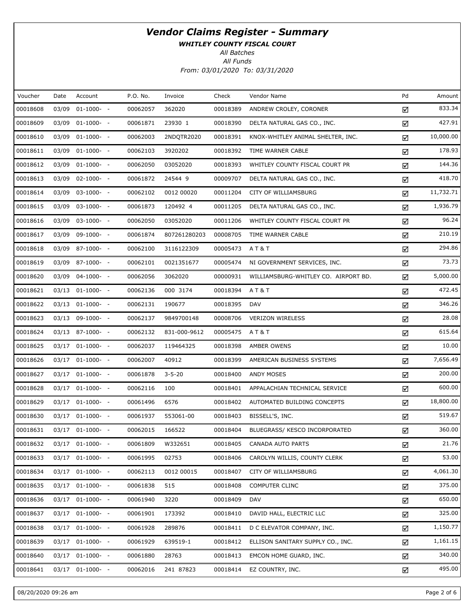WHITLEY COUNTY FISCAL COURT

All Batches

| Voucher  | Date  | Account               | P.O. No. | Invoice      | Check    | Vendor Name                          | Pd | Amount    |
|----------|-------|-----------------------|----------|--------------|----------|--------------------------------------|----|-----------|
| 00018608 | 03/09 | $01-1000-$            | 00062057 | 362020       | 00018389 | ANDREW CROLEY, CORONER               | ☑  | 833.34    |
| 00018609 |       | 03/09 01-1000- -      | 00061871 | 23930 1      | 00018390 | DELTA NATURAL GAS CO., INC.          | ☑  | 427.91    |
| 00018610 | 03/09 | $01-1000- -$          | 00062003 | 2NDQTR2020   | 00018391 | KNOX-WHITLEY ANIMAL SHELTER, INC.    | ☑  | 10,000.00 |
| 00018611 |       | 03/09 01-1000- -      | 00062103 | 3920202      | 00018392 | TIME WARNER CABLE                    | ☑  | 178.93    |
| 00018612 |       | 03/09 01-1000- -      | 00062050 | 03052020     | 00018393 | WHITLEY COUNTY FISCAL COURT PR       | ☑  | 144.36    |
| 00018613 |       | 03/09 02-1000- -      | 00061872 | 24544 9      | 00009707 | DELTA NATURAL GAS CO., INC.          | ☑  | 418.70    |
| 00018614 |       | 03/09 03-1000- -      | 00062102 | 0012 00020   | 00011204 | CITY OF WILLIAMSBURG                 | ☑  | 11,732.71 |
| 00018615 |       | 03/09 03-1000- -      | 00061873 | 120492 4     | 00011205 | DELTA NATURAL GAS CO., INC.          | ☑  | 1,936.79  |
| 00018616 |       | 03/09 03-1000- -      | 00062050 | 03052020     | 00011206 | WHITLEY COUNTY FISCAL COURT PR       | ☑  | 96.24     |
| 00018617 |       | 03/09 09-1000- -      | 00061874 | 807261280203 | 00008705 | TIME WARNER CABLE                    | ☑  | 210.19    |
| 00018618 |       | 03/09 87-1000- -      | 00062100 | 3116122309   | 00005473 | A T & T                              | ☑  | 294.86    |
| 00018619 |       | 03/09 87-1000- -      | 00062101 | 0021351677   | 00005474 | NI GOVERNMENT SERVICES, INC.         | ☑  | 73.73     |
| 00018620 |       | 03/09 04-1000- -      | 00062056 | 3062020      | 00000931 | WILLIAMSBURG-WHITLEY CO. AIRPORT BD. | ☑  | 5,000.00  |
| 00018621 |       | 03/13 01-1000- -      | 00062136 | 000 3174     | 00018394 | AT&T                                 | ☑  | 472.45    |
| 00018622 |       | $03/13$ $01-1000$ - - | 00062131 | 190677       | 00018395 | DAV                                  | ☑  | 346.26    |
| 00018623 |       | 03/13 09-1000- -      | 00062137 | 9849700148   | 00008706 | <b>VERIZON WIRELESS</b>              | ☑  | 28.08     |
| 00018624 |       | 03/13 87-1000- -      | 00062132 | 831-000-9612 | 00005475 | A T & T                              | ☑  | 615.64    |
| 00018625 |       | $03/17$ $01-1000-$ -  | 00062037 | 119464325    | 00018398 | AMBER OWENS                          | ☑  | 10.00     |
| 00018626 |       | $03/17$ $01-1000$ - - | 00062007 | 40912        | 00018399 | AMERICAN BUSINESS SYSTEMS            | ☑  | 7,656.49  |
| 00018627 |       | $03/17$ $01-1000-$ -  | 00061878 | $3 - 5 - 20$ | 00018400 | ANDY MOSES                           | ☑  | 200.00    |
| 00018628 |       | $03/17$ $01-1000-$ -  | 00062116 | 100          | 00018401 | APPALACHIAN TECHNICAL SERVICE        | ☑  | 600.00    |
| 00018629 |       | $03/17$ $01-1000-$ -  | 00061496 | 6576         | 00018402 | AUTOMATED BUILDING CONCEPTS          | ☑  | 18,800.00 |
| 00018630 |       | $03/17$ $01-1000-$ -  | 00061937 | 553061-00    | 00018403 | BISSELL'S, INC.                      | ☑  | 519.67    |
| 00018631 |       | 03/17 01-1000- -      | 00062015 | 166522       | 00018404 | BLUEGRASS/ KESCO INCORPORATED        | ☑  | 360.00    |
| 00018632 |       | 03/17 01-1000- -      | 00061809 | W332651      | 00018405 | CANADA AUTO PARTS                    | ☑  | 21.76     |
| 00018633 |       | $03/17$ $01-1000$ - - | 00061995 | 02753        | 00018406 | CAROLYN WILLIS, COUNTY CLERK         | ☑  | 53.00     |
| 00018634 |       | 03/17 01-1000- -      | 00062113 | 0012 00015   | 00018407 | CITY OF WILLIAMSBURG                 | ☑  | 4,061.30  |
| 00018635 |       | $03/17$ $01-1000$ - - | 00061838 | 515          | 00018408 | COMPUTER CLINC                       | ☑  | 375.00    |
| 00018636 |       | 03/17 01-1000- -      | 00061940 | 3220         | 00018409 | <b>DAV</b>                           | ☑  | 650.00    |
| 00018637 |       | $03/17$ $01-1000$ - - | 00061901 | 173392       | 00018410 | DAVID HALL, ELECTRIC LLC             | ☑  | 325.00    |
| 00018638 |       | 03/17 01-1000- -      | 00061928 | 289876       | 00018411 | D C ELEVATOR COMPANY, INC.           | ☑  | 1,150.77  |
| 00018639 |       | $03/17$ $01-1000$ - - | 00061929 | 639519-1     | 00018412 | ELLISON SANITARY SUPPLY CO., INC.    | ☑  | 1,161.15  |
| 00018640 |       | 03/17 01-1000- -      | 00061880 | 28763        | 00018413 | EMCON HOME GUARD, INC.               | ☑  | 340.00    |
| 00018641 | 03/17 | $01-1000-$            | 00062016 | 241 87823    | 00018414 | EZ COUNTRY, INC.                     | ☑  | 495.00    |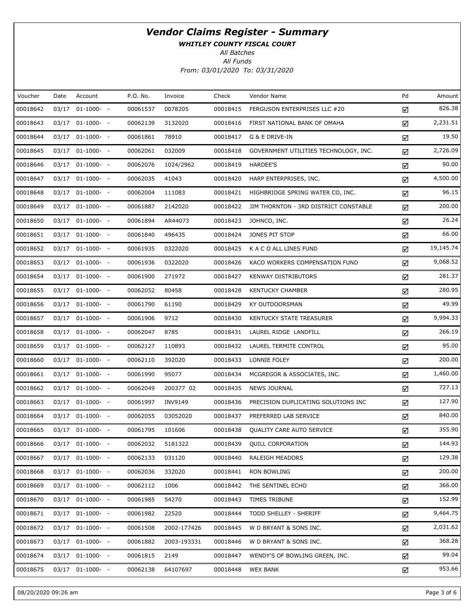WHITLEY COUNTY FISCAL COURT

All Batches

| Voucher  | Date  | Account               | P.O. No. | Invoice     | Check    | Vendor Name                           | Pd | Amount    |
|----------|-------|-----------------------|----------|-------------|----------|---------------------------------------|----|-----------|
| 00018642 | 03/17 | $01-1000-$            | 00061537 | 0078205     | 00018415 | FERGUSON ENTERPRISES LLC #20          | ☑  | 826.38    |
| 00018643 |       | 03/17 01-1000- -      | 00062139 | 3132020     | 00018416 | FIRST NATIONAL BANK OF OMAHA          | ☑  | 2,231.51  |
| 00018644 |       | 03/17 01-1000- -      | 00061861 | 78910       | 00018417 | G & E DRIVE-IN                        | ☑  | 19.50     |
| 00018645 |       | 03/17 01-1000- -      | 00062061 | 032009      | 00018418 | GOVERNMENT UTILITIES TECHNOLOGY, INC. | ☑  | 2,726.09  |
| 00018646 |       | 03/17 01-1000- -      | 00062076 | 1024/2962   | 00018419 | HARDEE'S                              | ☑  | 90.00     |
| 00018647 |       | 03/17 01-1000- -      | 00062035 | 41043       | 00018420 | HARP ENTERPRISES, INC.                | ☑  | 4,500.00  |
| 00018648 |       | 03/17 01-1000- -      | 00062004 | 111083      | 00018421 | HIGHBRIDGE SPRING WATER CO, INC.      | ☑  | 96.15     |
| 00018649 |       | 03/17 01-1000- -      | 00061887 | 2142020     | 00018422 | JIM THORNTON - 3RD DISTRICT CONSTABLE | ☑  | 200.00    |
| 00018650 |       | 03/17 01-1000- -      | 00061894 | AR44073     | 00018423 | JOHNCO, INC.                          | ☑  | 26.24     |
| 00018651 |       | 03/17 01-1000- -      | 00061840 | 496435      | 00018424 | JONES PIT STOP                        | ☑  | 66.00     |
| 00018652 |       | 03/17 01-1000- -      | 00061935 | 0322020     | 00018425 | K A C O ALL LINES FUND                | ☑  | 19,145.74 |
| 00018653 |       | 03/17 01-1000- -      | 00061936 | 0322020     | 00018426 | KACO WORKERS COMPENSATION FUND        | ☑  | 9,068.52  |
| 00018654 |       | 03/17 01-1000- -      | 00061900 | 271972      | 00018427 | <b>KENWAY DISTRIBUTORS</b>            | ☑  | 281.37    |
| 00018655 |       | 03/17 01-1000- -      | 00062052 | 80458       | 00018428 | <b>KENTUCKY CHAMBER</b>               | ☑  | 280.95    |
| 00018656 |       | 03/17 01-1000- -      | 00061790 | 61190       | 00018429 | KY OUTDOORSMAN                        | ☑  | 49.99     |
| 00018657 |       | 03/17 01-1000- -      | 00061906 | 9712        | 00018430 | KENTUCKY STATE TREASURER              | ☑  | 9,994.33  |
| 00018658 |       | 03/17 01-1000- -      | 00062047 | 8785        | 00018431 | LAUREL RIDGE LANDFILL                 | ☑  | 266.19    |
| 00018659 |       | 03/17 01-1000- -      | 00062127 | 110893      | 00018432 | LAUREL TERMITE CONTROL                | ☑  | 95.00     |
| 00018660 |       | 03/17 01-1000- -      | 00062110 | 392020      | 00018433 | LONNIE FOLEY                          | ☑  | 200.00    |
| 00018661 |       | 03/17 01-1000- -      | 00061990 | 95077       | 00018434 | MCGREGOR & ASSOCIATES, INC.           | ☑  | 1,460.00  |
| 00018662 |       | 03/17 01-1000- -      | 00062049 | 200377 02   | 00018435 | <b>NEWS JOURNAL</b>                   | ☑  | 727.13    |
| 00018663 |       | 03/17 01-1000- -      | 00061997 | INV9149     | 00018436 | PRECISION DUPLICATING SOLUTIONS INC   | ☑  | 127.90    |
| 00018664 |       | 03/17 01-1000- -      | 00062055 | 03052020    | 00018437 | PREFERRED LAB SERVICE                 | ☑  | 840.00    |
| 00018665 |       | 03/17 01-1000- -      | 00061795 | 101606      | 00018438 | <b>QUALITY CARE AUTO SERVICE</b>      | ☑  | 355.90    |
| 00018666 |       | 03/17 01-1000- -      | 00062032 | 5181322     | 00018439 | <b>QUILL CORPORATION</b>              | ☑  | 144.93    |
| 00018667 |       | 03/17 01-1000- -      | 00062133 | 031120      | 00018440 | RALEIGH MEADORS                       | ☑  | 129.38    |
| 00018668 |       | 03/17 01-1000- -      | 00062036 | 332020      | 00018441 | RON BOWLING                           | ☑  | 200.00    |
| 00018669 |       | $03/17$ $01-1000$ - - | 00062112 | 1006        | 00018442 | THE SENTINEL ECHO                     | ☑  | 366.00    |
| 00018670 |       | 03/17 01-1000- -      | 00061985 | 54270       | 00018443 | TIMES TRIBUNE                         | ☑  | 152.99    |
| 00018671 |       | $03/17$ $01-1000-$ -  | 00061982 | 22520       | 00018444 | TODD SHELLEY - SHERIFF                | ☑  | 9,464.75  |
| 00018672 |       | 03/17 01-1000- -      | 00061508 | 2002-177426 | 00018445 | W D BRYANT & SONS INC.                | ☑  | 2,031.62  |
| 00018673 |       | 03/17 01-1000- -      | 00061882 | 2003-193331 | 00018446 | W D BRYANT & SONS INC.                | ☑  | 368.28    |
| 00018674 |       | 03/17 01-1000- -      | 00061815 | 2149        | 00018447 | WENDY'S OF BOWLING GREEN, INC.        | ☑  | 99.04     |
| 00018675 |       | 03/17 01-1000- -      | 00062138 | 64107697    | 00018448 | <b>WEX BANK</b>                       | ☑  | 953.66    |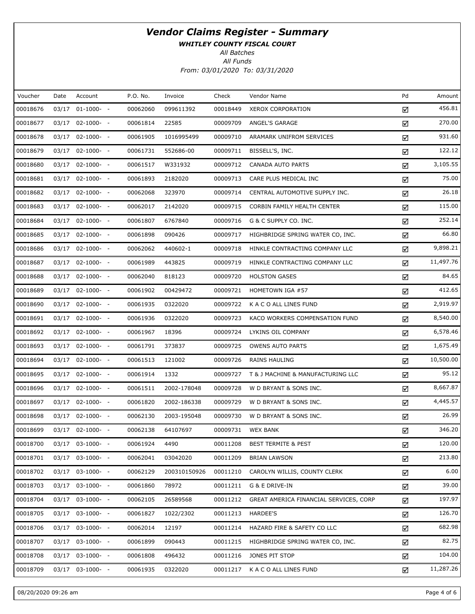WHITLEY COUNTY FISCAL COURT

All Batches

| Voucher  | Date  | Account               | P.O. No. | Invoice      | Check    | Vendor Name                            | Pd | Amount    |
|----------|-------|-----------------------|----------|--------------|----------|----------------------------------------|----|-----------|
| 00018676 | 03/17 | $01-1000- -$          | 00062060 | 099611392    | 00018449 | <b>XEROX CORPORATION</b>               | ☑  | 456.81    |
| 00018677 |       | $03/17$ $02-1000$ - - | 00061814 | 22585        | 00009709 | ANGEL'S GARAGE                         | ☑  | 270.00    |
| 00018678 |       | $03/17$ $02-1000$ - - | 00061905 | 1016995499   | 00009710 | ARAMARK UNIFROM SERVICES               | ☑  | 931.60    |
| 00018679 |       | $03/17$ $02-1000$ - - | 00061731 | 552686-00    | 00009711 | BISSELL'S, INC.                        | ☑  | 122.12    |
| 00018680 |       | $03/17$ $02-1000$ - - | 00061517 | W331932      | 00009712 | <b>CANADA AUTO PARTS</b>               | ☑  | 3,105.55  |
| 00018681 |       | $03/17$ $02-1000-$ -  | 00061893 | 2182020      | 00009713 | CARE PLUS MEDICAL INC                  | ☑  | 75.00     |
| 00018682 |       | $03/17$ $02-1000$ - - | 00062068 | 323970       | 00009714 | CENTRAL AUTOMOTIVE SUPPLY INC.         | ☑  | 26.18     |
| 00018683 |       | $03/17$ $02-1000$ - - | 00062017 | 2142020      | 00009715 | CORBIN FAMILY HEALTH CENTER            | ☑  | 115.00    |
| 00018684 |       | $03/17$ $02-1000$ - - | 00061807 | 6767840      | 00009716 | G & C SUPPLY CO. INC.                  | ☑  | 252.14    |
| 00018685 |       | $03/17$ $02-1000$ - - | 00061898 | 090426       | 00009717 | HIGHBRIDGE SPRING WATER CO, INC.       | ☑  | 66.80     |
| 00018686 |       | $03/17$ $02-1000-$ -  | 00062062 | 440602-1     | 00009718 | HINKLE CONTRACTING COMPANY LLC         | ☑  | 9,898.21  |
| 00018687 |       | $03/17$ $02-1000$ - - | 00061989 | 443825       | 00009719 | HINKLE CONTRACTING COMPANY LLC         | ☑  | 11,497.76 |
| 00018688 |       | $03/17$ $02-1000$ - - | 00062040 | 818123       | 00009720 | <b>HOLSTON GASES</b>                   | ☑  | 84.65     |
| 00018689 |       | $03/17$ $02-1000$ - - | 00061902 | 00429472     | 00009721 | HOMETOWN IGA #57                       | ☑  | 412.65    |
| 00018690 |       | $03/17$ $02-1000$ - - | 00061935 | 0322020      | 00009722 | K A C O ALL LINES FUND                 | ☑  | 2,919.97  |
| 00018691 |       | $03/17$ $02-1000$ - - | 00061936 | 0322020      | 00009723 | KACO WORKERS COMPENSATION FUND         | ☑  | 8,540.00  |
| 00018692 |       | $03/17$ $02-1000$ - - | 00061967 | 18396        | 00009724 | LYKINS OIL COMPANY                     | ☑  | 6,578.46  |
| 00018693 |       | $03/17$ $02-1000$ - - | 00061791 | 373837       | 00009725 | <b>OWENS AUTO PARTS</b>                | ☑  | 1,675.49  |
| 00018694 |       | $03/17$ $02-1000$ - - | 00061513 | 121002       | 00009726 | <b>RAINS HAULING</b>                   | ☑  | 10,500.00 |
| 00018695 |       | $03/17$ $02-1000$ - - | 00061914 | 1332         | 00009727 | T & J MACHINE & MANUFACTURING LLC      | ☑  | 95.12     |
| 00018696 |       | $03/17$ $02-1000$ - - | 00061511 | 2002-178048  | 00009728 | W D BRYANT & SONS INC.                 | ☑  | 8,667.87  |
| 00018697 |       | $03/17$ $02-1000-$ -  | 00061820 | 2002-186338  | 00009729 | W D BRYANT & SONS INC.                 | ☑  | 4,445.57  |
| 00018698 |       | $03/17$ $02-1000$ - - | 00062130 | 2003-195048  | 00009730 | W D BRYANT & SONS INC.                 | ☑  | 26.99     |
| 00018699 |       | 03/17 02-1000- -      | 00062138 | 64107697     | 00009731 | <b>WEX BANK</b>                        | ☑  | 346.20    |
| 00018700 |       | 03/17 03-1000- -      | 00061924 | 4490         | 00011208 | <b>BEST TERMITE &amp; PEST</b>         | ☑  | 120.00    |
| 00018701 |       | $03/17$ $03-1000$ - - | 00062041 | 03042020     | 00011209 | <b>BRIAN LAWSON</b>                    | ☑  | 213.80    |
| 00018702 |       | $03/17$ $03-1000$ - - | 00062129 | 200310150926 | 00011210 | CAROLYN WILLIS, COUNTY CLERK           | ☑  | 6.00      |
| 00018703 |       | $03/17$ $03-1000$ - - | 00061860 | 78972        | 00011211 | G & E DRIVE-IN                         | ☑  | 39.00     |
| 00018704 |       | $03/17$ $03-1000$ - - | 00062105 | 26589568     | 00011212 | GREAT AMERICA FINANCIAL SERVICES, CORP | ☑  | 197.97    |
| 00018705 |       | $03/17$ $03-1000$ - - | 00061827 | 1022/2302    | 00011213 | HARDEE'S                               | ☑  | 126.70    |
| 00018706 |       | 03/17 03-1000- -      | 00062014 | 12197        | 00011214 | HAZARD FIRE & SAFETY CO LLC            | ☑  | 682.98    |
| 00018707 |       | $03/17$ $03-1000$ - - | 00061899 | 090443       | 00011215 | HIGHBRIDGE SPRING WATER CO, INC.       | ☑  | 82.75     |
| 00018708 |       | 03/17 03-1000- -      | 00061808 | 496432       | 00011216 | JONES PIT STOP                         | ☑  | 104.00    |
| 00018709 |       | 03/17 03-1000- -      | 00061935 | 0322020      | 00011217 | K A C O ALL LINES FUND                 | ☑  | 11,287.26 |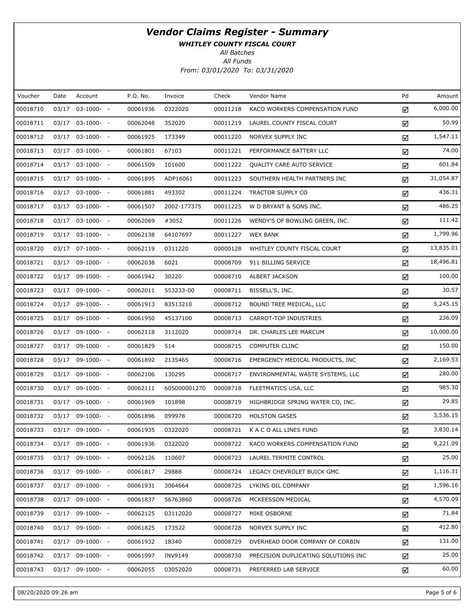WHITLEY COUNTY FISCAL COURT

All Batches

| Voucher  | Date  | Account               | P.O. No. | Invoice      | Check    | Vendor Name                         | Pd | Amount    |
|----------|-------|-----------------------|----------|--------------|----------|-------------------------------------|----|-----------|
| 00018710 | 03/17 | $03-1000- -$          | 00061936 | 0322020      | 00011218 | KACO WORKERS COMPENSATION FUND      | ☑  | 6,000.00  |
| 00018711 |       | 03/17 03-1000- -      | 00062048 | 352020       | 00011219 | LAUREL COUNTY FISCAL COURT          | ☑  | 50.99     |
| 00018712 |       | $03/17$ $03-1000-$ -  | 00061925 | 173349       | 00011220 | NORVEX SUPPLY INC                   | ☑  | 1,547.11  |
| 00018713 |       | $03/17$ $03-1000$ - - | 00061801 | 67103        | 00011221 | PERFORMANCE BATTERY LLC             | ☑  | 74.00     |
| 00018714 |       | $03/17$ $03-1000$ - - | 00061509 | 101600       | 00011222 | QUALITY CARE AUTO SERVICE           | ☑  | 601.84    |
| 00018715 |       | $03/17$ $03-1000$ - - | 00061895 | ADP16061     | 00011223 | SOUTHERN HEALTH PARTNERS INC        | ☑  | 31,054.87 |
| 00018716 |       | $03/17$ $03-1000$ - - | 00061881 | 493302       | 00011224 | TRACTOR SUPPLY CO                   | ☑  | 436.31    |
| 00018717 |       | $03/17$ $03-1000$ - - | 00061507 | 2002-177375  | 00011225 | W D BRYANT & SONS INC.              | ☑  | 486.25    |
| 00018718 |       | $03/17$ $03-1000$ - - | 00062069 | #3052        | 00011226 | WENDY'S OF BOWLING GREEN, INC.      | ☑  | 111.42    |
| 00018719 |       | $03/17$ $03-1000$ - - | 00062138 | 64107697     | 00011227 | <b>WEX BANK</b>                     | ☑  | 1,799.96  |
| 00018720 |       | 03/17 07-1000- -      | 00062119 | 0311220      | 00000128 | WHITLEY COUNTY FISCAL COURT         | ☑  | 13,835.01 |
| 00018721 |       | 03/17 09-1000- -      | 00062038 | 6021         | 00008709 | 911 BILLING SERVICE                 | ☑  | 18,496.81 |
| 00018722 |       | 03/17 09-1000- -      | 00061942 | 30220        | 00008710 | ALBERT JACKSON                      | ☑  | 100.00    |
| 00018723 |       | 03/17 09-1000- -      | 00062011 | 553233-00    | 00008711 | BISSELL'S, INC.                     | ☑  | 30.57     |
| 00018724 |       | 03/17 09-1000- -      | 00061913 | 83513210     | 00008712 | BOUND TREE MEDICAL, LLC             | ☑  | 5,245.15  |
| 00018725 |       | 03/17 09-1000- -      | 00061950 | 45137100     | 00008713 | CARROT-TOP INDUSTRIES               | ☑  | 236.09    |
| 00018726 |       | 03/17 09-1000- -      | 00062118 | 3112020      | 00008714 | DR. CHARLES LEE MARCUM              | ☑  | 10,000.00 |
| 00018727 |       | 03/17 09-1000- -      | 00061829 | 514          | 00008715 | <b>COMPUTER CLINC</b>               | ☑  | 150.00    |
| 00018728 |       | 03/17 09-1000- -      | 00061892 | 2135465      | 00008716 | EMERGENCY MEDICAL PRODUCTS, INC     | ☑  | 2,169.53  |
| 00018729 |       | 03/17 09-1000- -      | 00062106 | 130295       | 00008717 | ENVIRONMENTAL WASTE SYSTEMS, LLC    | ☑  | 280.00    |
| 00018730 |       | 03/17 09-1000- -      | 00062111 | 605000001270 | 00008718 | FLEETMATICS USA, LLC                | ☑  | 985.30    |
| 00018731 |       | 03/17 09-1000- -      | 00061969 | 101898       | 00008719 | HIGHBRIDGE SPRING WATER CO, INC.    | ☑  | 29.85     |
| 00018732 |       | 03/17 09-1000- -      | 00061896 | 099978       | 00008720 | <b>HOLSTON GASES</b>                | ☑  | 3,536.15  |
| 00018733 |       | 03/17 09-1000- -      | 00061935 | 0322020      | 00008721 | K A C O ALL LINES FUND              | ☑  | 3,830.14  |
| 00018734 |       | 03/17 09-1000- -      | 00061936 | 0322020      | 00008722 | KACO WORKERS COMPENSATION FUND      | ☑  | 9,221.09  |
| 00018735 |       | 03/17 09-1000- -      | 00062126 | 110607       | 00008723 | LAUREL TERMITE CONTROL              | ☑  | 25.00     |
| 00018736 |       | 03/17 09-1000- -      | 00061817 | 29888        | 00008724 | LEGACY CHEVROLET BUICK GMC          | ☑  | 1,116.31  |
| 00018737 |       | 03/17 09-1000- -      | 00061931 | 3064664      | 00008725 | LYKINS OIL COMPANY                  | ☑  | 1,596.16  |
| 00018738 |       | 03/17 09-1000- -      | 00061837 | 56763860     | 00008726 | MCKEESSON MEDICAL                   | ☑  | 4,570.09  |
| 00018739 |       | 03/17 09-1000- -      | 00062125 | 03112020     | 00008727 | MIKE OSBORNE                        | ☑  | 71.84     |
| 00018740 |       | 03/17 09-1000- -      | 00061825 | 173522       | 00008728 | NORVEX SUPPLY INC                   | ☑  | 412.80    |
| 00018741 |       | 03/17 09-1000- -      | 00061932 | 18340        | 00008729 | OVERHEAD DOOR COMPANY OF CORBIN     | ☑  | 131.00    |
| 00018742 |       | 03/17 09-1000- -      | 00061997 | INV9149      | 00008730 | PRECISION DUPLICATING SOLUTIONS INC | ☑  | 25.00     |
| 00018743 |       | 03/17 09-1000- -      | 00062055 | 03052020     | 00008731 | PREFERRED LAB SERVICE               | ☑  | 60.00     |